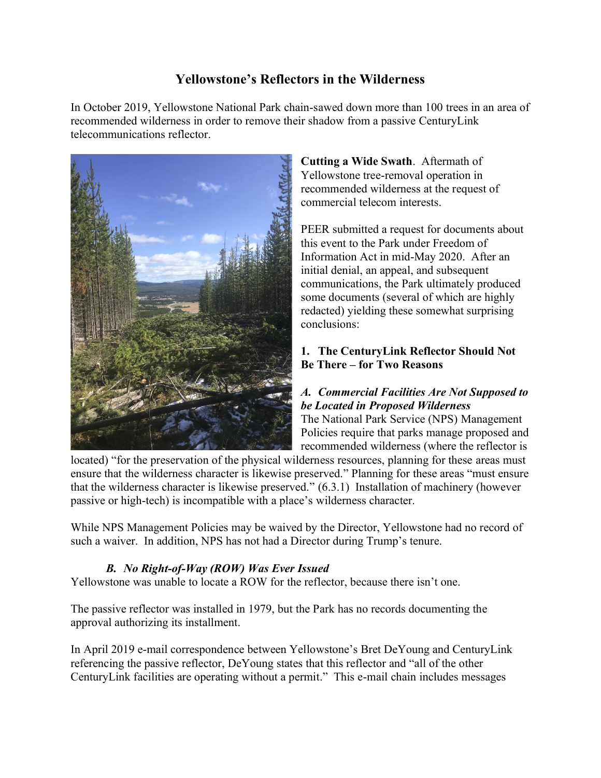# **Yellowstone's Reflectors in the Wilderness**

In October 2019, Yellowstone National Park chain-sawed down more than 100 trees in an area of recommended wilderness in order to remove their shadow from a passive CenturyLink telecommunications reflector.



**Cutting a Wide Swath**. Aftermath of Yellowstone tree-removal operation in recommended wilderness at the request of commercial telecom interests.

PEER submitted a request for documents about this event to the Park under Freedom of Information Act in mid-May 2020. After an initial denial, an appeal, and subsequent communications, the Park ultimately produced some documents (several of which are highly redacted) yielding these somewhat surprising conclusions:

# **1. The CenturyLink Reflector Should Not Be There – for Two Reasons**

# *A. Commercial Facilities Are Not Supposed to be Located in Proposed Wilderness*

The National Park Service (NPS) Management Policies require that parks manage proposed and recommended wilderness (where the reflector is

located) "for the preservation of the physical wilderness resources, planning for these areas must ensure that the wilderness character is likewise preserved." Planning for these areas "must ensure that the wilderness character is likewise preserved." (6.3.1) Installation of machinery (however passive or high-tech) is incompatible with a place's wilderness character.

While NPS Management Policies may be waived by the Director, Yellowstone had no record of such a waiver. In addition, NPS has not had a Director during Trump's tenure.

# *B. No Right-of-Way (ROW) Was Ever Issued*

Yellowstone was unable to locate a ROW for the reflector, because there isn't one.

The passive reflector was installed in 1979, but the Park has no records documenting the approval authorizing its installment.

In April 2019 e-mail correspondence between Yellowstone's Bret DeYoung and CenturyLink referencing the passive reflector, DeYoung states that this reflector and "all of the other CenturyLink facilities are operating without a permit." This e-mail chain includes messages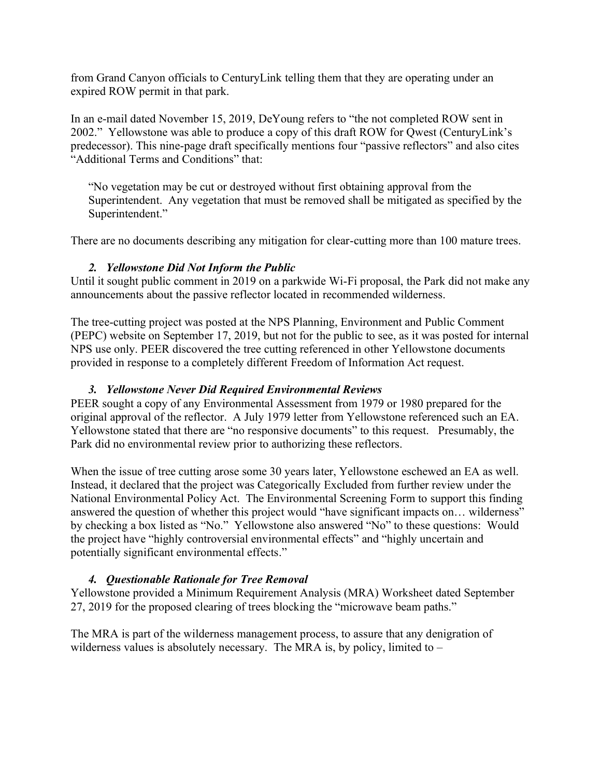from Grand Canyon officials to CenturyLink telling them that they are operating under an expired ROW permit in that park.

In an e-mail dated November 15, 2019, DeYoung refers to "the not completed ROW sent in 2002." Yellowstone was able to produce a copy of this draft ROW for Qwest (CenturyLink's predecessor). This nine-page draft specifically mentions four "passive reflectors" and also cites "Additional Terms and Conditions" that:

"No vegetation may be cut or destroyed without first obtaining approval from the Superintendent. Any vegetation that must be removed shall be mitigated as specified by the Superintendent."

There are no documents describing any mitigation for clear-cutting more than 100 mature trees.

#### *2. Yellowstone Did Not Inform the Public*

Until it sought public comment in 2019 on a parkwide Wi-Fi proposal, the Park did not make any announcements about the passive reflector located in recommended wilderness.

The tree-cutting project was posted at the NPS Planning, Environment and Public Comment (PEPC) website on September 17, 2019, but not for the public to see, as it was posted for internal NPS use only. PEER discovered the tree cutting referenced in other Yellowstone documents provided in response to a completely different Freedom of Information Act request.

### *3. Yellowstone Never Did Required Environmental Reviews*

PEER sought a copy of any Environmental Assessment from 1979 or 1980 prepared for the original approval of the reflector. A July 1979 letter from Yellowstone referenced such an EA. Yellowstone stated that there are "no responsive documents" to this request. Presumably, the Park did no environmental review prior to authorizing these reflectors.

When the issue of tree cutting arose some 30 years later, Yellowstone eschewed an EA as well. Instead, it declared that the project was Categorically Excluded from further review under the National Environmental Policy Act. The Environmental Screening Form to support this finding answered the question of whether this project would "have significant impacts on… wilderness" by checking a box listed as "No." Yellowstone also answered "No" to these questions: Would the project have "highly controversial environmental effects" and "highly uncertain and potentially significant environmental effects."

### *4. Questionable Rationale for Tree Removal*

Yellowstone provided a Minimum Requirement Analysis (MRA) Worksheet dated September 27, 2019 for the proposed clearing of trees blocking the "microwave beam paths."

The MRA is part of the wilderness management process, to assure that any denigration of wilderness values is absolutely necessary. The MRA is, by policy, limited to –